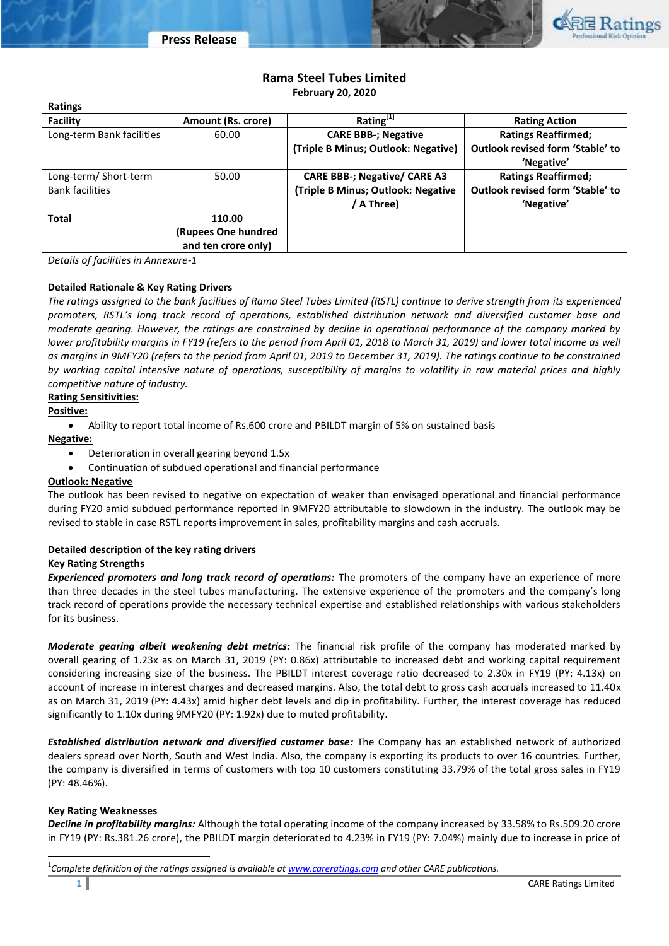

# **Rama Steel Tubes Limited February 20, 2020**

| <b>Ratings</b>            |                     |                                     |                                  |
|---------------------------|---------------------|-------------------------------------|----------------------------------|
| <b>Facility</b>           | Amount (Rs. crore)  | Rating <sup>[1]</sup>               | <b>Rating Action</b>             |
| Long-term Bank facilities | 60.00               | <b>CARE BBB-; Negative</b>          | <b>Ratings Reaffirmed;</b>       |
|                           |                     | (Triple B Minus; Outlook: Negative) | Outlook revised form 'Stable' to |
|                           |                     |                                     | 'Negative'                       |
| Long-term/Short-term      | 50.00               | <b>CARE BBB-; Negative/ CARE A3</b> | <b>Ratings Reaffirmed;</b>       |
| <b>Bank facilities</b>    |                     | (Triple B Minus; Outlook: Negative  | Outlook revised form 'Stable' to |
|                           |                     | A Three)                            | 'Negative'                       |
| Total                     | 110.00              |                                     |                                  |
|                           | (Rupees One hundred |                                     |                                  |
|                           | and ten crore only) |                                     |                                  |

*Details of facilities in Annexure-1*

### **Detailed Rationale & Key Rating Drivers**

*The ratings assigned to the bank facilities of Rama Steel Tubes Limited (RSTL) continue to derive strength from its experienced promoters, RSTL's long track record of operations, established distribution network and diversified customer base and moderate gearing. However, the ratings are constrained by decline in operational performance of the company marked by lower profitability margins in FY19 (refers to the period from April 01, 2018 to March 31, 2019) and lower total income as well as margins in 9MFY20 (refers to the period from April 01, 2019 to December 31, 2019). The ratings continue to be constrained by working capital intensive nature of operations, susceptibility of margins to volatility in raw material prices and highly competitive nature of industry.*

## **Rating Sensitivities:**

# **Positive:**

Ability to report total income of Rs.600 crore and PBILDT margin of 5% on sustained basis

### **Negative:**

- Deterioration in overall gearing beyond 1.5x
- Continuation of subdued operational and financial performance

### **Outlook: Negative**

The outlook has been revised to negative on expectation of weaker than envisaged operational and financial performance during FY20 amid subdued performance reported in 9MFY20 attributable to slowdown in the industry. The outlook may be revised to stable in case RSTL reports improvement in sales, profitability margins and cash accruals.

### **Detailed description of the key rating drivers Key Rating Strengths**

*Experienced promoters and long track record of operations:* The promoters of the company have an experience of more than three decades in the steel tubes manufacturing. The extensive experience of the promoters and the company's long track record of operations provide the necessary technical expertise and established relationships with various stakeholders for its business.

*Moderate gearing albeit weakening debt metrics:* The financial risk profile of the company has moderated marked by overall gearing of 1.23x as on March 31, 2019 (PY: 0.86x) attributable to increased debt and working capital requirement considering increasing size of the business. The PBILDT interest coverage ratio decreased to 2.30x in FY19 (PY: 4.13x) on account of increase in interest charges and decreased margins. Also, the total debt to gross cash accruals increased to 11.40x as on March 31, 2019 (PY: 4.43x) amid higher debt levels and dip in profitability. Further, the interest coverage has reduced significantly to 1.10x during 9MFY20 (PY: 1.92x) due to muted profitability.

*Established distribution network and diversified customer base:* The Company has an established network of authorized dealers spread over North, South and West India. Also, the company is exporting its products to over 16 countries. Further, the company is diversified in terms of customers with top 10 customers constituting 33.79% of the total gross sales in FY19 (PY: 48.46%).

### **Key Rating Weaknesses**

 $\overline{a}$ 

*Decline in profitability margins:* Although the total operating income of the company increased by 33.58% to Rs.509.20 crore in FY19 (PY: Rs.381.26 crore), the PBILDT margin deteriorated to 4.23% in FY19 (PY: 7.04%) mainly due to increase in price of

<sup>1</sup> *Complete definition of the ratings assigned is available a[t www.careratings.com](http://www.careratings.com/) and other CARE publications.*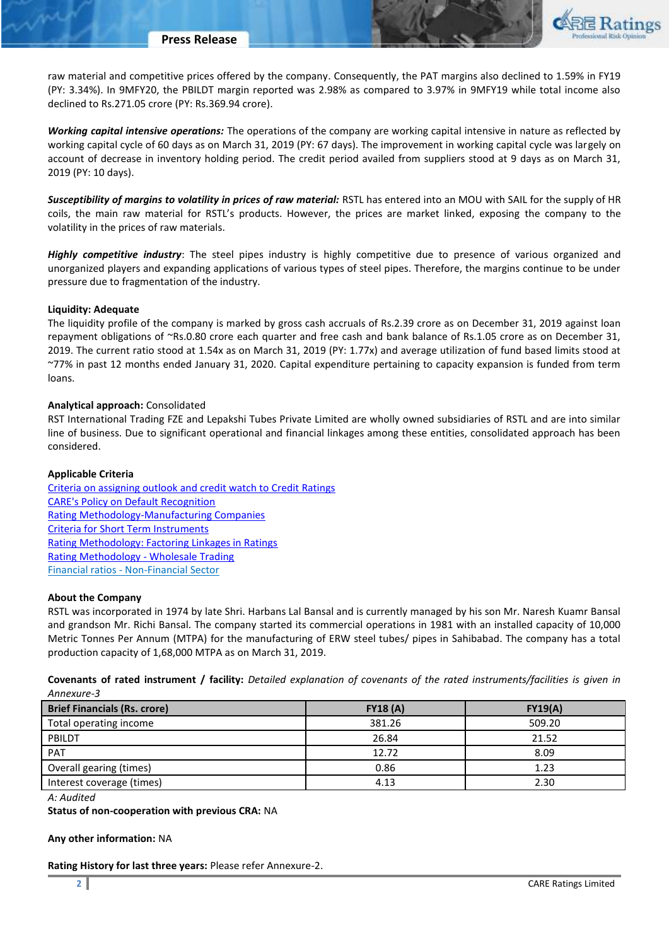

raw material and competitive prices offered by the company. Consequently, the PAT margins also declined to 1.59% in FY19 (PY: 3.34%). In 9MFY20, the PBILDT margin reported was 2.98% as compared to 3.97% in 9MFY19 while total income also declined to Rs.271.05 crore (PY: Rs.369.94 crore).

*Working capital intensive operations:* The operations of the company are working capital intensive in nature as reflected by working capital cycle of 60 days as on March 31, 2019 (PY: 67 days). The improvement in working capital cycle was largely on account of decrease in inventory holding period. The credit period availed from suppliers stood at 9 days as on March 31, 2019 (PY: 10 days).

*Susceptibility of margins to volatility in prices of raw material:* RSTL has entered into an MOU with SAIL for the supply of HR coils, the main raw material for RSTL's products. However, the prices are market linked, exposing the company to the volatility in the prices of raw materials.

*Highly competitive industry*: The steel pipes industry is highly competitive due to presence of various organized and unorganized players and expanding applications of various types of steel pipes. Therefore, the margins continue to be under pressure due to fragmentation of the industry.

#### **Liquidity: Adequate**

The liquidity profile of the company is marked by gross cash accruals of Rs.2.39 crore as on December 31, 2019 against loan repayment obligations of ~Rs.0.80 crore each quarter and free cash and bank balance of Rs.1.05 crore as on December 31, 2019. The current ratio stood at 1.54x as on March 31, 2019 (PY: 1.77x) and average utilization of fund based limits stood at ~77% in past 12 months ended January 31, 2020. Capital expenditure pertaining to capacity expansion is funded from term loans.

#### **Analytical approach:** Consolidated

RST International Trading FZE and Lepakshi Tubes Private Limited are wholly owned subsidiaries of RSTL and are into similar line of business. Due to significant operational and financial linkages among these entities, consolidated approach has been considered.

#### **Applicable Criteria**

[Criteria on assigning outlook and credit watch to Credit Ratings](http://www.careratings.com/pdf/resources/Rating_Outlook_and_credit_watch_May_2019.pdf) [CARE's Policy on Default Recognition](http://www.careratings.com/pdf/resources/CARE) [Rating Methodology-Manufacturing Companies](http://www.careratings.com/upload/NewsFiles/GetRated/Rating%20Methodology%20-%20Manufacturing%20Companies_16Sept2019.pdf) [Criteria for Short Term Instruments](http://www.careratings.com/upload/NewsFiles/GetRated/ShortTermInstruments-06-Sept-2018.pdf) [Rating Methodology: Factoring Linkages in Ratings](http://www.careratings.com/upload/NewsFiles/GetRated/Rating%20Methodology%20-%20Consolidation%20&%20Factoring%20Linkages%20in%20Ratings-Oct-19.pdf) [Rating Methodology -](http://www.careratings.com/upload/NewsFiles/GetRated/Rating%20methodology_Wholesale%20Trading_27Nov2019.pdf) Wholesale Trading Financial ratios - [Non-Financial Sector](http://www.careratings.com/pdf/resources/Financial%20ratios%20-%20Non%20Financial%20Sector-Sept2019.pdf)

#### **About the Company**

RSTL was incorporated in 1974 by late Shri. Harbans Lal Bansal and is currently managed by his son Mr. Naresh Kuamr Bansal and grandson Mr. Richi Bansal. The company started its commercial operations in 1981 with an installed capacity of 10,000 Metric Tonnes Per Annum (MTPA) for the manufacturing of ERW steel tubes/ pipes in Sahibabad. The company has a total production capacity of 1,68,000 MTPA as on March 31, 2019.

**Covenants of rated instrument / facility:** *Detailed explanation of covenants of the rated instruments/facilities is given in Annexure-3*

| <b>Brief Financials (Rs. crore)</b> | FY18(A) | FY19(A) |
|-------------------------------------|---------|---------|
| Total operating income              | 381.26  | 509.20  |
| PBILDT                              | 26.84   | 21.52   |
| <b>PAT</b>                          | 12.72   | 8.09    |
| Overall gearing (times)             | 0.86    | 1.23    |
| Interest coverage (times)           | 4.13    | 2.30    |

*A: Audited*

**Status of non-cooperation with previous CRA:** NA

#### **Any other information:** NA

**Rating History for last three years:** Please refer Annexure-2.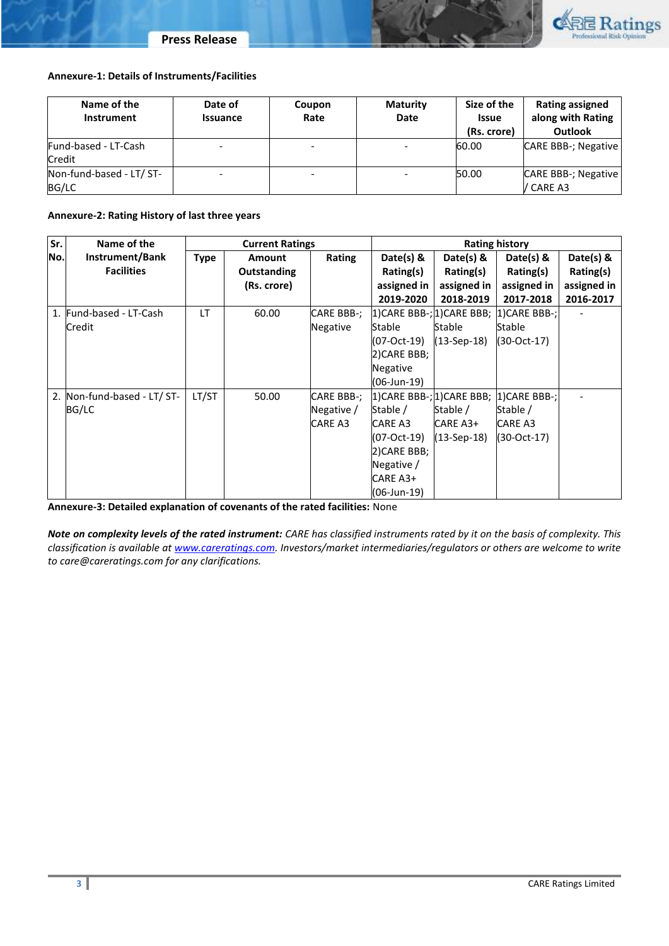



### **Annexure-1: Details of Instruments/Facilities**

| Name of the<br>Instrument | Date of<br><b>Issuance</b> | Coupon<br>Rate           | <b>Maturity</b><br>Date | Size of the<br><b>Issue</b><br>(Rs. crore) | <b>Rating assigned</b><br>along with Rating<br>Outlook |
|---------------------------|----------------------------|--------------------------|-------------------------|--------------------------------------------|--------------------------------------------------------|
| Fund-based - LT-Cash      |                            | $\overline{\phantom{0}}$ |                         | 60.00                                      | <b>CARE BBB-; Negative</b>                             |
| Credit                    |                            |                          |                         |                                            |                                                        |
| Non-fund-based - LT/ ST-  |                            | $\overline{\phantom{0}}$ |                         | 50.00                                      | <b>CARE BBB-; Negative</b>                             |
| BG/LC                     |                            |                          |                         |                                            | / CARE A3                                              |

### **Annexure-2: Rating History of last three years**

| Sr. | Name of the                 | <b>Current Ratings</b> |               | <b>Rating history</b> |                                  |               |                                        |             |
|-----|-----------------------------|------------------------|---------------|-----------------------|----------------------------------|---------------|----------------------------------------|-------------|
| No. | Instrument/Bank             | <b>Type</b>            | <b>Amount</b> | Rating                | Date(s) $\&$                     | Date(s) $8$   | Date(s) $8$                            | Date(s) $8$ |
|     | <b>Facilities</b>           |                        | Outstanding   |                       | Rating(s)                        | Rating(s)     | Rating(s)                              | Rating(s)   |
|     |                             |                        | (Rs. crore)   |                       | assigned in                      | assigned in   | assigned in                            | assigned in |
|     |                             |                        |               |                       | 2019-2020                        | 2018-2019     | 2017-2018                              | 2016-2017   |
|     | 1. Fund-based - LT-Cash     | LT                     | 60.00         | CARE BBB-;            | $(1)$ CARE BBB-; $(1)$ CARE BBB; |               | 1) CARE BBB-;                          |             |
|     | Credit                      |                        |               | Negative              | Stable                           | <b>Stable</b> | Stable                                 |             |
|     |                             |                        |               |                       | (07-Oct-19)                      | (13-Sep-18)   | (30-Oct-17)                            |             |
|     |                             |                        |               |                       | 2) CARE BBB;                     |               |                                        |             |
|     |                             |                        |               |                       | Negative                         |               |                                        |             |
|     |                             |                        |               |                       | (06-Jun-19)                      |               |                                        |             |
|     | 2. Non-fund-based - LT/ ST- | LT/ST                  | 50.00         | CARE BBB-;            |                                  |               | 1)CARE BBB-; 1)CARE BBB;  1)CARE BBB-; |             |
|     | BG/LC                       |                        |               | Negative /            | Stable /                         | Stable /      | Stable /                               |             |
|     |                             |                        |               | CARE A3               | CARE A3                          | CARE A3+      | CARE A3                                |             |
|     |                             |                        |               |                       | (07-Oct-19)                      | (13-Sep-18)   | (30-Oct-17)                            |             |
|     |                             |                        |               |                       | 2) CARE BBB;                     |               |                                        |             |
|     |                             |                        |               |                       | Negative /                       |               |                                        |             |
|     |                             |                        |               |                       | CARE A3+                         |               |                                        |             |
|     |                             |                        |               |                       | (06-Jun-19)                      |               |                                        |             |

**Annexure-3: Detailed explanation of covenants of the rated facilities:** None

*Note on complexity levels of the rated instrument: CARE has classified instruments rated by it on the basis of complexity. This classification is available at [www.careratings.com.](http://www.careratings.com/) Investors/market intermediaries/regulators or others are welcome to write to care@careratings.com for any clarifications.*